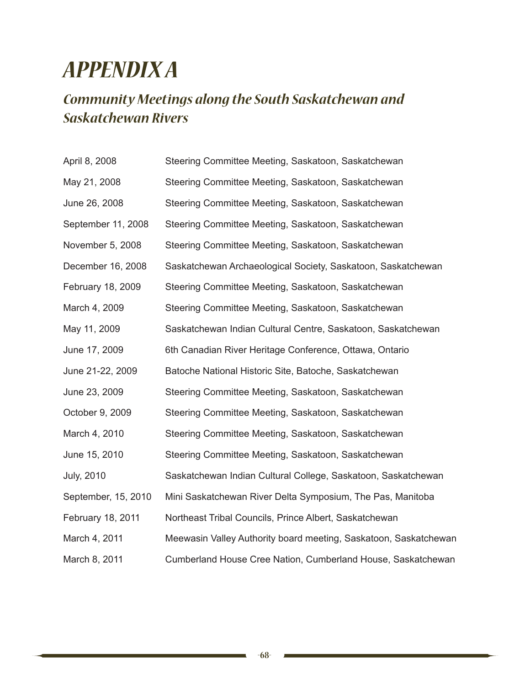## *Appendix A*

## *Community Meetings along the South Saskatchewan and Saskatchewan Rivers*

| April 8, 2008       | Steering Committee Meeting, Saskatoon, Saskatchewan              |
|---------------------|------------------------------------------------------------------|
| May 21, 2008        | Steering Committee Meeting, Saskatoon, Saskatchewan              |
| June 26, 2008       | Steering Committee Meeting, Saskatoon, Saskatchewan              |
| September 11, 2008  | Steering Committee Meeting, Saskatoon, Saskatchewan              |
| November 5, 2008    | Steering Committee Meeting, Saskatoon, Saskatchewan              |
| December 16, 2008   | Saskatchewan Archaeological Society, Saskatoon, Saskatchewan     |
| February 18, 2009   | Steering Committee Meeting, Saskatoon, Saskatchewan              |
| March 4, 2009       | Steering Committee Meeting, Saskatoon, Saskatchewan              |
| May 11, 2009        | Saskatchewan Indian Cultural Centre, Saskatoon, Saskatchewan     |
| June 17, 2009       | 6th Canadian River Heritage Conference, Ottawa, Ontario          |
| June 21-22, 2009    | Batoche National Historic Site, Batoche, Saskatchewan            |
| June 23, 2009       | Steering Committee Meeting, Saskatoon, Saskatchewan              |
| October 9, 2009     | Steering Committee Meeting, Saskatoon, Saskatchewan              |
| March 4, 2010       | Steering Committee Meeting, Saskatoon, Saskatchewan              |
| June 15, 2010       | Steering Committee Meeting, Saskatoon, Saskatchewan              |
| <b>July, 2010</b>   | Saskatchewan Indian Cultural College, Saskatoon, Saskatchewan    |
| September, 15, 2010 | Mini Saskatchewan River Delta Symposium, The Pas, Manitoba       |
| February 18, 2011   | Northeast Tribal Councils, Prince Albert, Saskatchewan           |
| March 4, 2011       | Meewasin Valley Authority board meeting, Saskatoon, Saskatchewan |
| March 8, 2011       | Cumberland House Cree Nation, Cumberland House, Saskatchewan     |